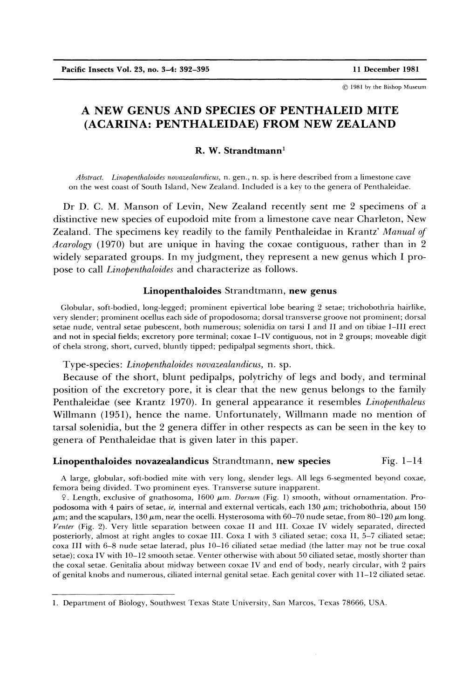© 1981 by the Bishop Museum

# **A NEW GENUS AND SPECIES OF PENTHALEID MITE (ACARINA: PENTHALEIDAE) FROM NEW ZEALAND**

### **R. W. Strandtmann<sup>1</sup>**

*Abstract. Linopenthaloides novazealandicus,* n. gen., n. sp. is here described from a limestone cave on the west coast of South Island, New Zealand. Included is a key to the genera of Penthaleidae.

Dr D. C. M. Manson of Levin, New Zealand recently sent me 2 specimens of a distinctive new species of eupodoid mite from a limestone cave near Charleton, New Zealand. The specimens key readily to the family Penthaleidae in Krantz' *Manual of Acarology* (1970) but are unique in having the coxae contiguous, rather than in 2 widely separated groups. In my judgment, they represent a new genus which I propose to call *Linopenthaloides* and characterize as follows.

#### **Linopenthaloides** Strandtmann, **new genus**

Globular, soft-bodied, long-legged; prominent epivertical lobe bearing 2 setae; trichobothria hairlike, very slender; prominent ocellus each side of propodosoma; dorsal transverse groove not prominent; dorsal setae nude, ventral setae pubescent, both numerous; solenidia on tarsi I and II and on tibiae I-III erect and not in special fields; excretory pore terminal; coxae I-IV contiguous, not in 2 groups; moveable digit of chela strong, short, curved, bluntly tipped; pedipalpal segments short, thick.

Type-species: *Linopenthaloides novazealandicus,* n. sp.

Because of the short, blunt pedipalps, polytrichy of legs and body, and terminal position of the excretory pore, it is clear that the new genus belongs to the family Penthaleidae (see Krantz 1970). In general appearance it resembles *Linopenthaleus*  Willmann (1951), hence the name. Unfortunately, Willmann made no mention of tarsal solenidia, but the 2 genera differ in other respects as can be seen in the key to genera of Penthaleidae that is given later in this paper.

#### **Linopenthaloides novazealandicus** Strandtmann, new species Fig. 1–14

A large, globular, soft-bodied mite with very long, slender legs. All legs 6-segmented beyond coxae, femora being divided. Two prominent eyes. Transverse suture inapparent.

9. Length, exclusive of gnathosoma, 1600  $\mu$ m. *Dorsum* (Fig. 1) smooth, without ornamentation. Propodosoma with 4 pairs of setae, *ie*, internal and external verticals, each 130  $\mu$ m; trichobothria, about 150  $\mu$ m; and the scapulars, 130  $\mu$ m, near the ocelli. Hysterosoma with 60–70 nude setae, from 80–120  $\mu$ m long. *Venter* (Fig. 2). Very little separation between coxae II and III. Coxae IV widely separated, directed posteriorly, almost at right angles to coxae III. Coxa I with 3 ciliated setae; coxa II, 5-7 ciliated setae; coxa III with 6-8 nude setae laterad, plus 10-16 ciliated setae mediad (the latter may not be true coxal setae); coxa IV with 10-12 smooth setae. Venter otherwise with about 50 ciliated setae, mostly shorter than the coxal setae. Genitalia about midway between coxae IV and end of body, nearly circular, with 2 pairs of genital knobs and numerous, ciliated internal genital setae. Each genital cover with 11-12 ciliated setae.

<sup>1.</sup> Department of Biology, Southwest Texas State University, San Marcos, Texas 78666, USA.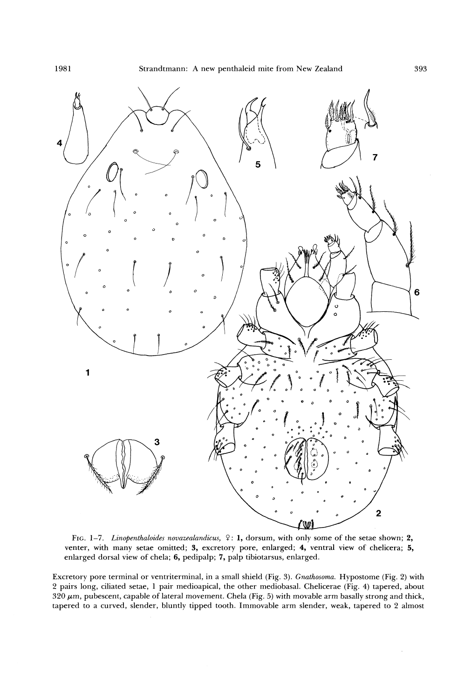

FIG. 1-7. *Linopenthaloides novazealandicus*,  $9: 1$ , dorsum, with only some of the setae shown; 2, venter, with many setae omitted; 3, excretory pore, enlarged; 4, ventral view of chelicera; 5, enlarged dorsal view of chela; 6, pedipalp; 7, palp tibiotarsus, enlarged.

Excretory pore terminal or ventriterminal, in a small shield (Fig. 3). *Gnathosoma.* Hypostome (Fig. 2) with 2 pairs long, ciliated setae, 1 pair medioapical, the other mediobasal. Chelicerae (Fig. 4) tapered, about 320  $\mu$ m, pubescent, capable of lateral movement. Chela (Fig. 5) with movable arm basally strong and thick, tapered to a curved, slender, bluntly tipped tooth. Immovable arm slender, weak, tapered to 2 almost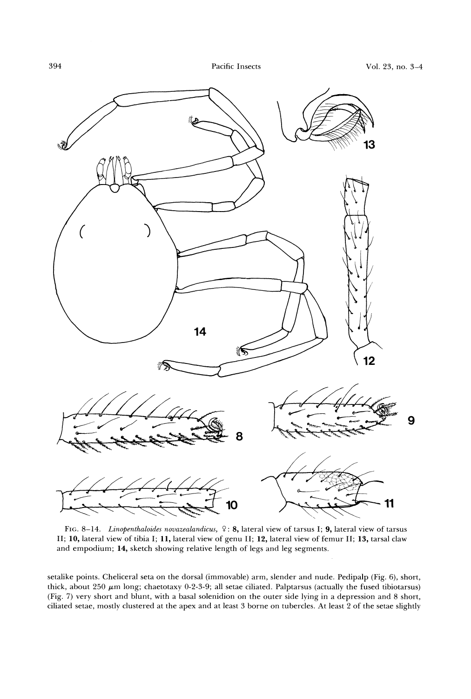

FIG. 8-14. *Linopenthaloides novazealandicus, 9* : 8, lateral view of tarsus I; 9, lateral view of tarsus II; 10, lateral view of tibia I; ll , lateral view of genu II; 12, lateral view of femur II; 13, tarsal claw and empodium; 14, sketch showing relative length of legs and leg segments.

setalike points. Cheliceral seta on the dorsal (immovable) arm, slender and nude. Pedipalp (Fig. 6), short, thick, about  $250 \mu m$  long; chaetotaxy 0-2-3-9; all setae ciliated. Palptarsus (actually the fused tibiotarsus) (Fig. 7) very short and blunt, with a basal solenidion on the outer side lying in a depression and 8 short, ciliated setae, mostly clustered at the apex and at least 3 borne on tubercles. At least 2 of the setae slightly